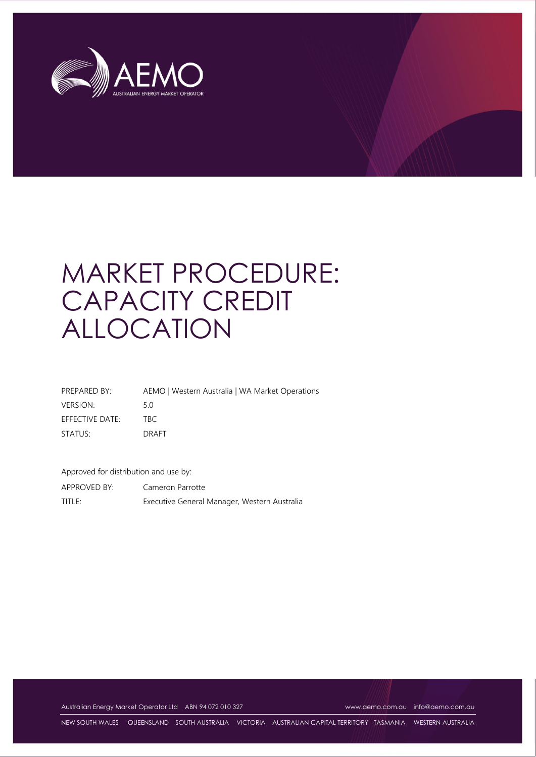

# MARKET PROCEDURE: CAPACITY CREDIT ALLOCATION

PREPARED BY: AEMO | Western Australia | WA Market Operations VERSION: 5.0 EFFECTIVE DATE: TBC STATUS: DRAFT

Approved for distribution and use by:

APPROVED BY: Cameron Parrotte TITLE: Executive General Manager, Western Australia

Australian Energy Market Operator Ltd ABN 94 072 010 327 [www.aemo.com.au](http://www.aemo.com.au/) [info@aemo.com.au](mailto:info@aemo.com.au)

NEW SOUTH WALES QUEENSLAND SOUTH AUSTRALIA VICTORIA AUSTRALIAN CAPITAL TERRITORY TASMANIA WESTERN AUSTRALIA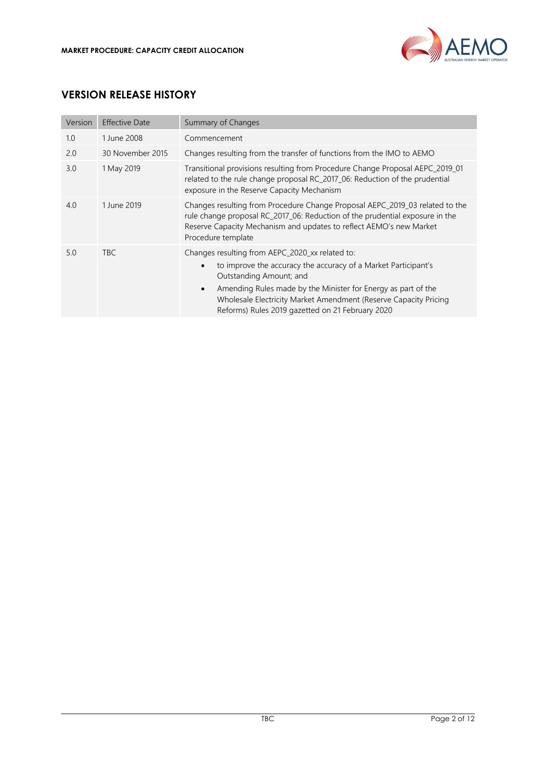

# **VERSION RELEASE HISTORY**

| Version | <b>Effective Date</b> | Summary of Changes                                                                                                                                                                                                                                                                                                                                              |
|---------|-----------------------|-----------------------------------------------------------------------------------------------------------------------------------------------------------------------------------------------------------------------------------------------------------------------------------------------------------------------------------------------------------------|
| 1.0     | 1 June 2008           | Commencement                                                                                                                                                                                                                                                                                                                                                    |
| 2.0     | 30 November 2015      | Changes resulting from the transfer of functions from the IMO to AEMO                                                                                                                                                                                                                                                                                           |
| 3.0     | 1 May 2019            | Transitional provisions resulting from Procedure Change Proposal AEPC_2019_01<br>related to the rule change proposal RC_2017_06: Reduction of the prudential<br>exposure in the Reserve Capacity Mechanism                                                                                                                                                      |
| 4.0     | 1 June 2019           | Changes resulting from Procedure Change Proposal AEPC_2019_03 related to the<br>rule change proposal RC_2017_06: Reduction of the prudential exposure in the<br>Reserve Capacity Mechanism and updates to reflect AEMO's new Market<br>Procedure template                                                                                                       |
| 5.0     | <b>TBC</b>            | Changes resulting from AEPC_2020_xx related to:<br>to improve the accuracy the accuracy of a Market Participant's<br>$\bullet$<br>Outstanding Amount; and<br>Amending Rules made by the Minister for Energy as part of the<br>$\bullet$<br>Wholesale Electricity Market Amendment (Reserve Capacity Pricing<br>Reforms) Rules 2019 gazetted on 21 February 2020 |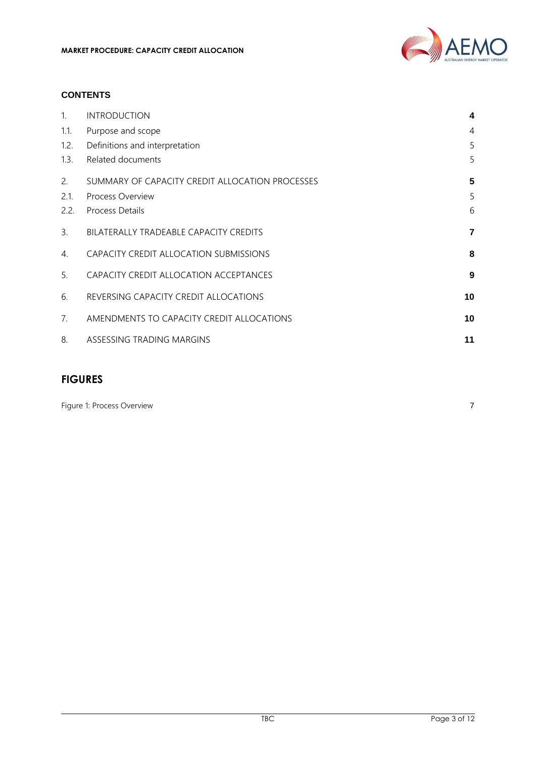

#### **CONTENTS**

| $\mathbf{1}$ . | <b>INTRODUCTION</b>                             | 4              |
|----------------|-------------------------------------------------|----------------|
| 1.1.           | Purpose and scope                               | $\overline{4}$ |
| 1.2.           | Definitions and interpretation                  | 5              |
| 1.3.           | Related documents                               | 5              |
| 2.             | SUMMARY OF CAPACITY CREDIT ALLOCATION PROCESSES | 5              |
| 2.1.           | Process Overview                                | 5              |
| 2.2.           | <b>Process Details</b>                          | 6              |
| 3.             | BILATERALLY TRADEABLE CAPACITY CREDITS          | 7              |
| 4.             | CAPACITY CREDIT ALLOCATION SUBMISSIONS          | 8              |
| 5.             | CAPACITY CREDIT ALLOCATION ACCEPTANCES          | 9              |
| 6.             | REVERSING CAPACITY CREDIT ALLOCATIONS           | 10             |
| 7.             | AMENDMENTS TO CAPACITY CREDIT ALLOCATIONS       | 10             |
| 8.             | ASSESSING TRADING MARGINS                       | 11             |

### **FIGURES**

[Figure 1: Process Overview](#page-6-1) 7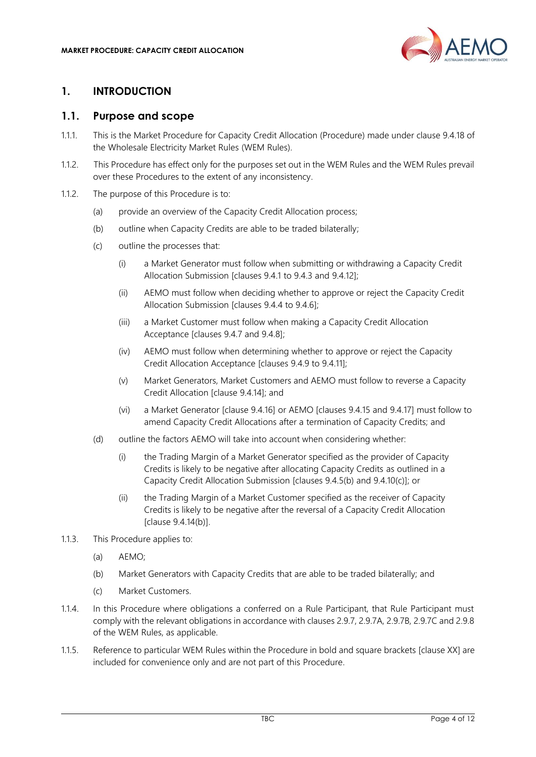

# <span id="page-3-0"></span>**1. INTRODUCTION**

#### <span id="page-3-1"></span>**1.1. Purpose and scope**

- 1.1.1. This is the Market Procedure for Capacity Credit Allocation (Procedure) made under clause 9.4.18 of the Wholesale Electricity Market Rules (WEM Rules).
- 1.1.2. This Procedure has effect only for the purposes set out in the WEM Rules and the WEM Rules prevail over these Procedures to the extent of any inconsistency.
- 1.1.2. The purpose of this Procedure is to:
	- (a) provide an overview of the Capacity Credit Allocation process;
	- (b) outline when Capacity Credits are able to be traded bilaterally;
	- (c) outline the processes that:
		- (i) a Market Generator must follow when submitting or withdrawing a Capacity Credit Allocation Submission [clauses 9.4.1 to 9.4.3 and 9.4.12];
		- (ii) AEMO must follow when deciding whether to approve or reject the Capacity Credit Allocation Submission [clauses 9.4.4 to 9.4.6];
		- (iii) a Market Customer must follow when making a Capacity Credit Allocation Acceptance [clauses 9.4.7 and 9.4.8];
		- (iv) AEMO must follow when determining whether to approve or reject the Capacity Credit Allocation Acceptance [clauses 9.4.9 to 9.4.11];
		- (v) Market Generators, Market Customers and AEMO must follow to reverse a Capacity Credit Allocation [clause 9.4.14]; and
		- (vi) a Market Generator [clause 9.4.16] or AEMO [clauses 9.4.15 and 9.4.17] must follow to amend Capacity Credit Allocations after a termination of Capacity Credits; and
	- (d) outline the factors AEMO will take into account when considering whether:
		- (i) the Trading Margin of a Market Generator specified as the provider of Capacity Credits is likely to be negative after allocating Capacity Credits as outlined in a Capacity Credit Allocation Submission [clauses 9.4.5(b) and 9.4.10(c)]; or
		- (ii) the Trading Margin of a Market Customer specified as the receiver of Capacity Credits is likely to be negative after the reversal of a Capacity Credit Allocation [clause 9.4.14(b)].
- 1.1.3. This Procedure applies to:
	- (a) AEMO;
	- (b) Market Generators with Capacity Credits that are able to be traded bilaterally; and
	- (c) Market Customers.
- 1.1.4. In this Procedure where obligations a conferred on a Rule Participant, that Rule Participant must comply with the relevant obligations in accordance with clauses 2.9.7, 2.9.7A, 2.9.7B, 2.9.7C and 2.9.8 of the WEM Rules, as applicable.
- 1.1.5. Reference to particular WEM Rules within the Procedure in bold and square brackets [clause XX] are included for convenience only and are not part of this Procedure.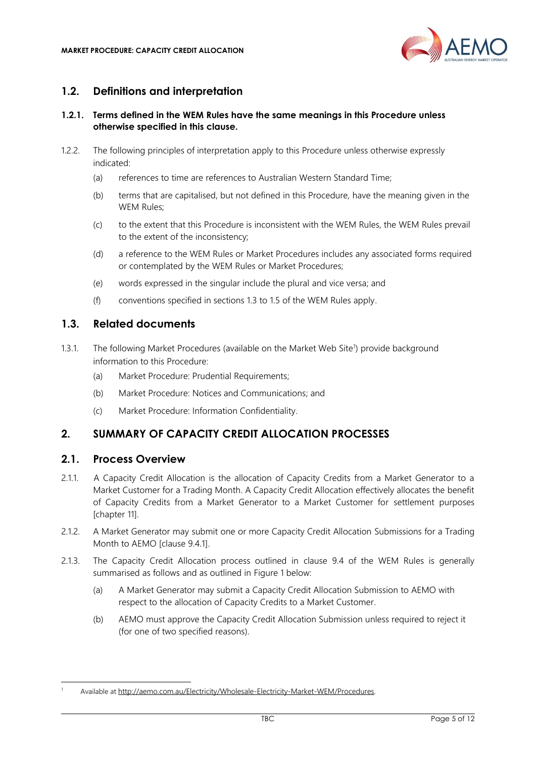

# <span id="page-4-0"></span>**1.2. Definitions and interpretation**

#### **1.2.1. Terms defined in the WEM Rules have the same meanings in this Procedure unless otherwise specified in this clause.**

- 1.2.2. The following principles of interpretation apply to this Procedure unless otherwise expressly indicated:
	- (a) references to time are references to Australian Western Standard Time;
	- (b) terms that are capitalised, but not defined in this Procedure, have the meaning given in the WEM Rules;
	- (c) to the extent that this Procedure is inconsistent with the WEM Rules, the WEM Rules prevail to the extent of the inconsistency;
	- (d) a reference to the WEM Rules or Market Procedures includes any associated forms required or contemplated by the WEM Rules or Market Procedures;
	- (e) words expressed in the singular include the plural and vice versa; and
	- (f) conventions specified in sections 1.3 to 1.5 of the WEM Rules apply.

# <span id="page-4-1"></span>**1.3. Related documents**

- 1.3.1. The following Market Procedures (available on the Market Web Site<sup>1</sup>) provide background information to this Procedure:
	- (a) Market Procedure: Prudential Requirements;
	- (b) Market Procedure: Notices and Communications; and
	- (c) Market Procedure: Information Confidentiality.

# <span id="page-4-2"></span>**2. SUMMARY OF CAPACITY CREDIT ALLOCATION PROCESSES**

#### <span id="page-4-3"></span>**2.1. Process Overview**

- 2.1.1. A Capacity Credit Allocation is the allocation of Capacity Credits from a Market Generator to a Market Customer for a Trading Month. A Capacity Credit Allocation effectively allocates the benefit of Capacity Credits from a Market Generator to a Market Customer for settlement purposes [chapter 11].
- 2.1.2. A Market Generator may submit one or more Capacity Credit Allocation Submissions for a Trading Month to AEMO [clause 9.4.1].
- 2.1.3. The Capacity Credit Allocation process outlined in clause 9.4 of the WEM Rules is generally summarised as follows and as outlined in [Figure 1](#page-6-1) below:
	- (a) A Market Generator may submit a Capacity Credit Allocation Submission to AEMO with respect to the allocation of Capacity Credits to a Market Customer.
	- (b) AEMO must approve the Capacity Credit Allocation Submission unless required to reject it (for one of two specified reasons).

<sup>1</sup> Available at [http://aemo.com.au/Electricity/Wholesale-Electricity-Market-WEM/Procedures.](http://aemo.com.au/Electricity/Wholesale-Electricity-Market-WEM/Procedures)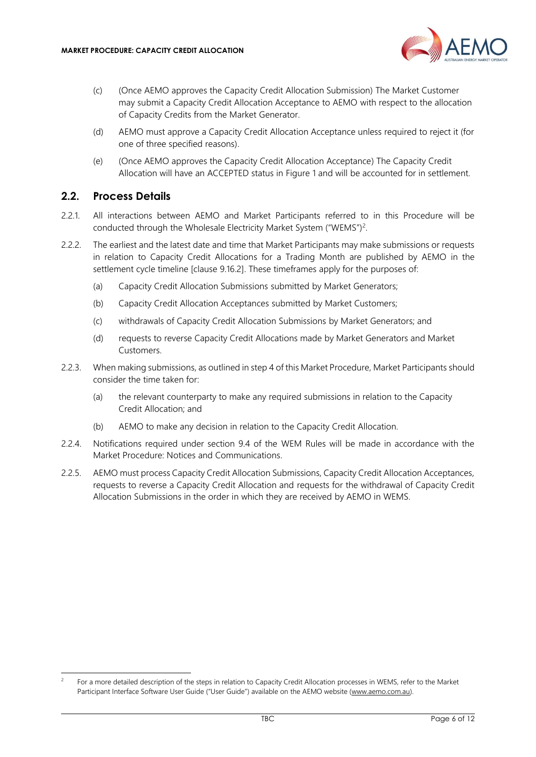

- (c) (Once AEMO approves the Capacity Credit Allocation Submission) The Market Customer may submit a Capacity Credit Allocation Acceptance to AEMO with respect to the allocation of Capacity Credits from the Market Generator.
- (d) AEMO must approve a Capacity Credit Allocation Acceptance unless required to reject it (for one of three specified reasons).
- (e) (Once AEMO approves the Capacity Credit Allocation Acceptance) The Capacity Credit Allocation will have an ACCEPTED status in [Figure 1](#page-6-1) and will be accounted for in settlement.

# <span id="page-5-0"></span>**2.2. Process Details**

- 2.2.1. All interactions between AEMO and Market Participants referred to in this Procedure will be conducted through the Wholesale Electricity Market System ("WEMS")<sup>2</sup>.
- <span id="page-5-1"></span>2.2.2. The earliest and the latest date and time that Market Participants may make submissions or requests in relation to Capacity Credit Allocations for a Trading Month are published by AEMO in the settlement cycle timeline [clause 9.16.2]. These timeframes apply for the purposes of:
	- (a) Capacity Credit Allocation Submissions submitted by Market Generators;
	- (b) Capacity Credit Allocation Acceptances submitted by Market Customers;
	- (c) withdrawals of Capacity Credit Allocation Submissions by Market Generators; and
	- (d) requests to reverse Capacity Credit Allocations made by Market Generators and Market Customers.
- 2.2.3. When making submissions, as outlined in step [4](#page-7-0) of this Market Procedure, Market Participants should consider the time taken for:
	- (a) the relevant counterparty to make any required submissions in relation to the Capacity Credit Allocation; and
	- (b) AEMO to make any decision in relation to the Capacity Credit Allocation.
- 2.2.4. Notifications required under section 9.4 of the WEM Rules will be made in accordance with the Market Procedure: Notices and Communications.
- 2.2.5. AEMO must process Capacity Credit Allocation Submissions, Capacity Credit Allocation Acceptances, requests to reverse a Capacity Credit Allocation and requests for the withdrawal of Capacity Credit Allocation Submissions in the order in which they are received by AEMO in WEMS.

 $\overline{2}$ For a more detailed description of the steps in relation to Capacity Credit Allocation processes in WEMS, refer to the Market Participant Interface Software User Guide ("User Guide") available on the AEMO website [\(www.aemo.com.au\).](http://www.aemo.com.au/)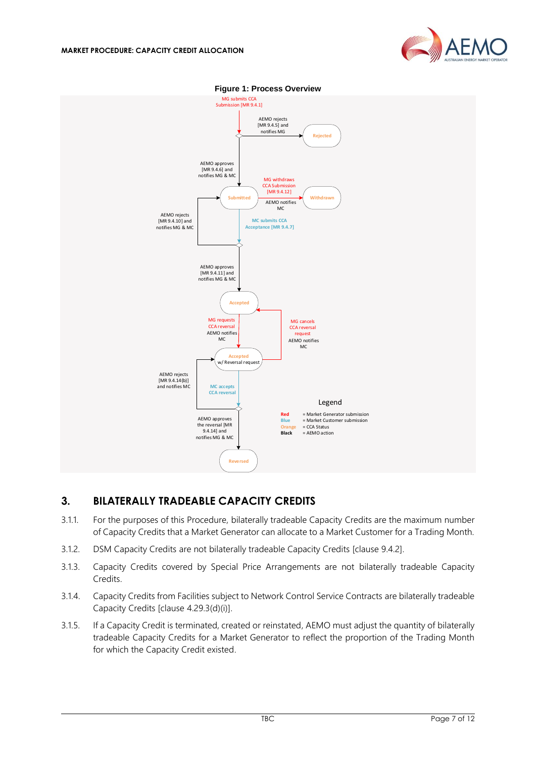

<span id="page-6-1"></span>

#### **Figure 1: Process Overview**

# <span id="page-6-0"></span>**3. BILATERALLY TRADEABLE CAPACITY CREDITS**

- 3.1.1. For the purposes of this Procedure, bilaterally tradeable Capacity Credits are the maximum number of Capacity Credits that a Market Generator can allocate to a Market Customer for a Trading Month.
- 3.1.2. DSM Capacity Credits are not bilaterally tradeable Capacity Credits [clause 9.4.2].
- 3.1.3. Capacity Credits covered by Special Price Arrangements are not bilaterally tradeable Capacity Credits.
- 3.1.4. Capacity Credits from Facilities subject to Network Control Service Contracts are bilaterally tradeable Capacity Credits [clause 4.29.3(d)(i)].
- 3.1.5. If a Capacity Credit is terminated, created or reinstated, AEMO must adjust the quantity of bilaterally tradeable Capacity Credits for a Market Generator to reflect the proportion of the Trading Month for which the Capacity Credit existed.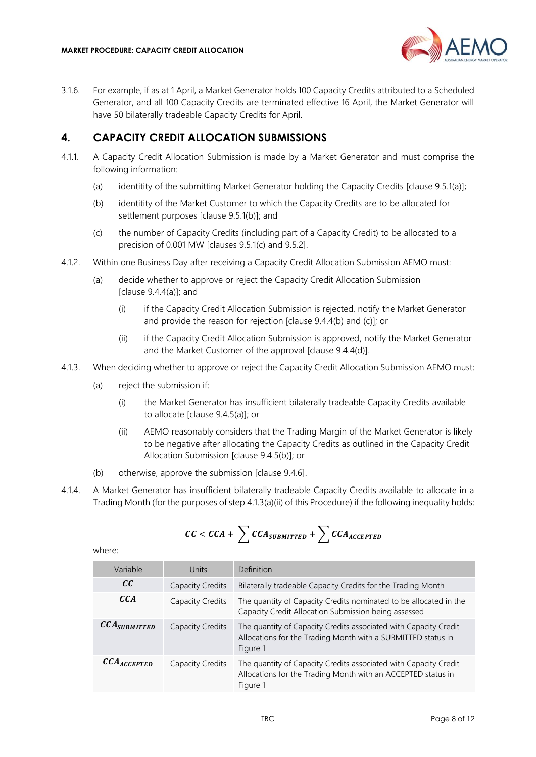

3.1.6. For example, if as at 1 April, a Market Generator holds 100 Capacity Credits attributed to a Scheduled Generator, and all 100 Capacity Credits are terminated effective 16 April, the Market Generator will have 50 bilaterally tradeable Capacity Credits for April.

# <span id="page-7-0"></span>**4. CAPACITY CREDIT ALLOCATION SUBMISSIONS**

- 4.1.1. A Capacity Credit Allocation Submission is made by a Market Generator and must comprise the following information:
	- (a) identitity of the submitting Market Generator holding the Capacity Credits [clause 9.5.1(a)];
	- (b) identitity of the Market Customer to which the Capacity Credits are to be allocated for settlement purposes [clause 9.5.1(b)]; and
	- (c) the number of Capacity Credits (including part of a Capacity Credit) to be allocated to a precision of 0.001 MW [clauses 9.5.1(c) and 9.5.2].
- 4.1.2. Within one Business Day after receiving a Capacity Credit Allocation Submission AEMO must:
	- (a) decide whether to approve or reject the Capacity Credit Allocation Submission [clause 9.4.4(a)]; and
		- (i) if the Capacity Credit Allocation Submission is rejected, notify the Market Generator and provide the reason for rejection [clause 9.4.4(b) and (c)]; or
		- (ii) if the Capacity Credit Allocation Submission is approved, notify the Market Generator and the Market Customer of the approval [clause 9.4.4(d)].
- <span id="page-7-1"></span>4.1.3. When deciding whether to approve or reject the Capacity Credit Allocation Submission AEMO must:
	- (a) reject the submission if:
		- (i) the Market Generator has insufficient bilaterally tradeable Capacity Credits available to allocate [clause 9.4.5(a)]; or
		- (ii) AEMO reasonably considers that the Trading Margin of the Market Generator is likely to be negative after allocating the Capacity Credits as outlined in the Capacity Credit Allocation Submission [clause 9.4.5(b)]; or
	- (b) otherwise, approve the submission [clause 9.4.6].
- <span id="page-7-3"></span><span id="page-7-2"></span>4.1.4. A Market Generator has insufficient bilaterally tradeable Capacity Credits available to allocate in a Trading Month (for the purposes of step [4.1.3](#page-7-1)[\(a\)\(ii\)](#page-7-2) of this Procedure) if the following inequality holds:

$$
CC < CCA + \sum CCA_{SUBMITTED} + \sum CCA_{ACCEPTED}
$$

| Variable                             | Units                   | Definition                                                                                                                                   |
|--------------------------------------|-------------------------|----------------------------------------------------------------------------------------------------------------------------------------------|
| cc                                   | <b>Capacity Credits</b> | Bilaterally tradeable Capacity Credits for the Trading Month                                                                                 |
| CCA                                  | Capacity Credits        | The quantity of Capacity Credits nominated to be allocated in the<br>Capacity Credit Allocation Submission being assessed                    |
| $\mathcal{CCA}_{\textit{SUBMITTED}}$ | Capacity Credits        | The quantity of Capacity Credits associated with Capacity Credit<br>Allocations for the Trading Month with a SUBMITTED status in<br>Figure 1 |
| $\mathcal{CCA}_{\mathcal{ACCEPTED}}$ | Capacity Credits        | The quantity of Capacity Credits associated with Capacity Credit<br>Allocations for the Trading Month with an ACCEPTED status in<br>Figure 1 |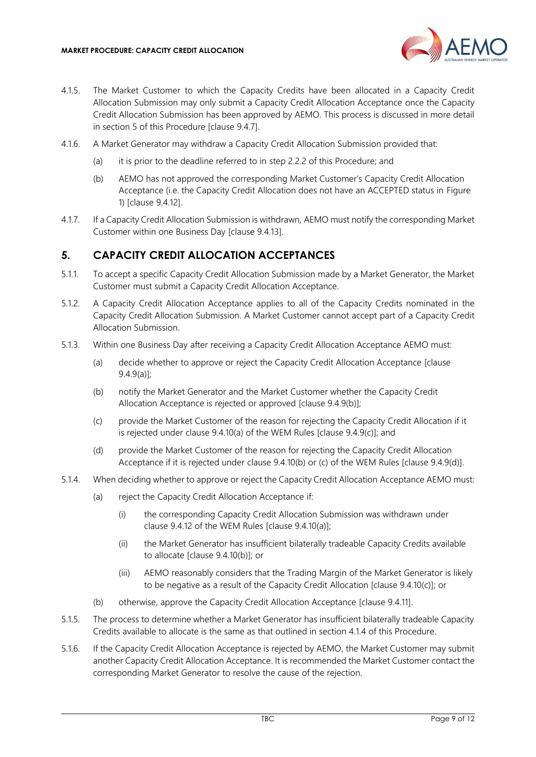

- 4.1.5. The Market Customer to which the Capacity Credits have been allocated in a Capacity Credit Allocation Submission may only submit a Capacity Credit Allocation Acceptance once the Capacity Credit Allocation Submission has been approved by AEMO. This process is discussed in more detail in section [5](#page-8-0) of this Procedure [clause 9.4.7].
- 4.1.6. A Market Generator may withdraw a Capacity Credit Allocation Submission provided that:
	- (a) it is prior to the deadline referred to in step [2.2.2](#page-5-1) of this Procedure; and
	- (b) AEMO has not approved the corresponding Market Customer's Capacity Credit Allocation Acceptance (i.e. the Capacity Credit Allocation does not have an ACCEPTED status in [Figure](#page-6-1)  [1\)](#page-6-1) [clause 9.4.12].
- 4.1.7. If a Capacity Credit Allocation Submission is withdrawn, AEMO must notify the corresponding Market Customer within one Business Day [clause 9.4.13].

# <span id="page-8-0"></span>**5. CAPACITY CREDIT ALLOCATION ACCEPTANCES**

- 5.1.1. To accept a specific Capacity Credit Allocation Submission made by a Market Generator, the Market Customer must submit a Capacity Credit Allocation Acceptance.
- 5.1.2. A Capacity Credit Allocation Acceptance applies to all of the Capacity Credits nominated in the Capacity Credit Allocation Submission. A Market Customer cannot accept part of a Capacity Credit Allocation Submission.
- 5.1.3. Within one Business Day after receiving a Capacity Credit Allocation Acceptance AEMO must:
	- (a) decide whether to approve or reject the Capacity Credit Allocation Acceptance [clause 9.4.9(a)];
	- (b) notify the Market Generator and the Market Customer whether the Capacity Credit Allocation Acceptance is rejected or approved [clause 9.4.9(b)];
	- (c) provide the Market Customer of the reason for rejecting the Capacity Credit Allocation if it is rejected under clause 9.4.10(a) of the WEM Rules [clause 9.4.9(c)]; and
	- (d) provide the Market Customer of the reason for rejecting the Capacity Credit Allocation Acceptance if it is rejected under clause 9.4.10(b) or (c) of the WEM Rules [clause 9.4.9(d)].
- 5.1.4. When deciding whether to approve or reject the Capacity Credit Allocation Acceptance AEMO must:
	- (a) reject the Capacity Credit Allocation Acceptance if:
		- (i) the corresponding Capacity Credit Allocation Submission was withdrawn under clause 9.4.12 of the WEM Rules [clause 9.4.10(a)];
		- (ii) the Market Generator has insufficient bilaterally tradeable Capacity Credits available to allocate [clause 9.4.10(b)]; or
		- (iii) AEMO reasonably considers that the Trading Margin of the Market Generator is likely to be negative as a result of the Capacity Credit Allocation [clause 9.4.10(c)]; or
	- (b) otherwise, approve the Capacity Credit Allocation Acceptance [clause 9.4.11].
- 5.1.5. The process to determine whether a Market Generator has insufficient bilaterally tradeable Capacity Credits available to allocate is the same as that outlined in section [4.1.4](#page-7-3) of this Procedure.
- 5.1.6. If the Capacity Credit Allocation Acceptance is rejected by AEMO, the Market Customer may submit another Capacity Credit Allocation Acceptance. It is recommended the Market Customer contact the corresponding Market Generator to resolve the cause of the rejection.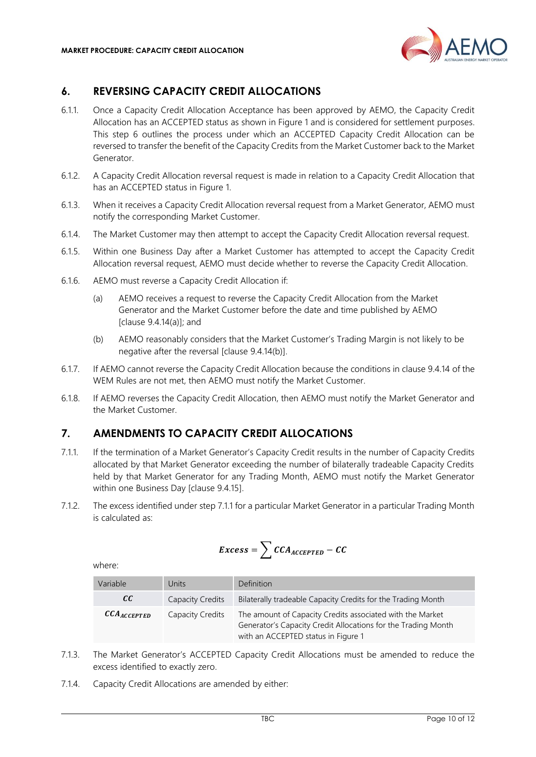

# <span id="page-9-0"></span>**6. REVERSING CAPACITY CREDIT ALLOCATIONS**

- 6.1.1. Once a Capacity Credit Allocation Acceptance has been approved by AEMO, the Capacity Credit Allocation has an ACCEPTED status as shown in [Figure 1](#page-6-1) and is considered for settlement purposes. This step [6](#page-9-0) outlines the process under which an ACCEPTED Capacity Credit Allocation can be reversed to transfer the benefit of the Capacity Credits from the Market Customer back to the Market Generator.
- 6.1.2. A Capacity Credit Allocation reversal request is made in relation to a Capacity Credit Allocation that has an ACCEPTED status in [Figure 1.](#page-6-1)
- 6.1.3. When it receives a Capacity Credit Allocation reversal request from a Market Generator, AEMO must notify the corresponding Market Customer.
- 6.1.4. The Market Customer may then attempt to accept the Capacity Credit Allocation reversal request.
- 6.1.5. Within one Business Day after a Market Customer has attempted to accept the Capacity Credit Allocation reversal request, AEMO must decide whether to reverse the Capacity Credit Allocation.
- 6.1.6. AEMO must reverse a Capacity Credit Allocation if:
	- (a) AEMO receives a request to reverse the Capacity Credit Allocation from the Market Generator and the Market Customer before the date and time published by AEMO  $[clause 9.4.14(a)]$ ; and
	- (b) AEMO reasonably considers that the Market Customer's Trading Margin is not likely to be negative after the reversal [clause 9.4.14(b)].
- 6.1.7. If AEMO cannot reverse the Capacity Credit Allocation because the conditions in clause 9.4.14 of the WEM Rules are not met, then AEMO must notify the Market Customer.
- 6.1.8. If AEMO reverses the Capacity Credit Allocation, then AEMO must notify the Market Generator and the Market Customer.

# <span id="page-9-1"></span>**7. AMENDMENTS TO CAPACITY CREDIT ALLOCATIONS**

- <span id="page-9-2"></span>7.1.1. If the termination of a Market Generator's Capacity Credit results in the number of Capacity Credits allocated by that Market Generator exceeding the number of bilaterally tradeable Capacity Credits held by that Market Generator for any Trading Month, AEMO must notify the Market Generator within one Business Day [clause 9.4.15].
- 7.1.2. The excess identified under step [7.1.1](#page-9-2) for a particular Market Generator in a particular Trading Month is calculated as:

$$
Excess = \sum CCA_{ACCEPTED} - CC
$$

| Variable                            | Units                   | <b>Definition</b>                                                                                                                                                 |
|-------------------------------------|-------------------------|-------------------------------------------------------------------------------------------------------------------------------------------------------------------|
| cc                                  | <b>Capacity Credits</b> | Bilaterally tradeable Capacity Credits for the Trading Month                                                                                                      |
| $\mathcal{CCA}_{\textit{ACCEPTED}}$ | Capacity Credits        | The amount of Capacity Credits associated with the Market<br>Generator's Capacity Credit Allocations for the Trading Month<br>with an ACCEPTED status in Figure 1 |

- 7.1.3. The Market Generator's ACCEPTED Capacity Credit Allocations must be amended to reduce the excess identified to exactly zero.
- 7.1.4. Capacity Credit Allocations are amended by either: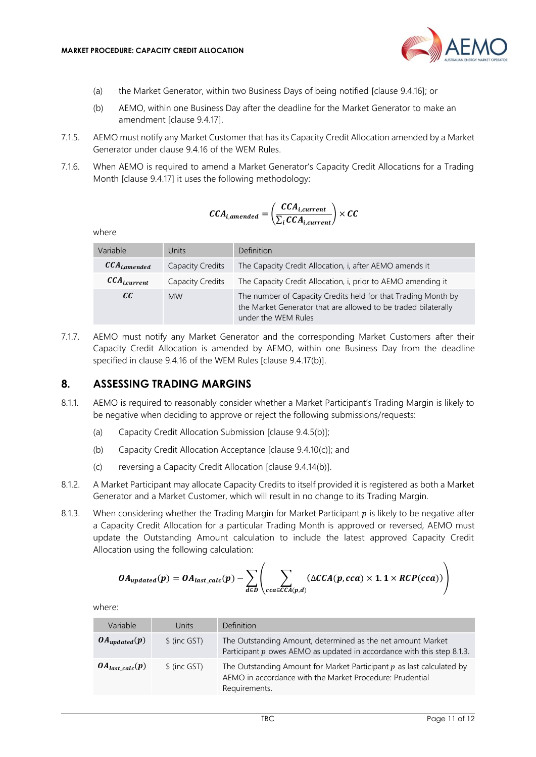

- (a) the Market Generator, within two Business Days of being notified [clause 9.4.16]; or
- (b) AEMO, within one Business Day after the deadline for the Market Generator to make an amendment [clause 9.4.17].
- 7.1.5. AEMO must notify any Market Customer that has its Capacity Credit Allocation amended by a Market Generator under clause 9.4.16 of the WEM Rules.
- 7.1.6. When AEMO is required to amend a Market Generator's Capacity Credit Allocations for a Trading Month [clause 9.4.17] it uses the following methodology:

$$
CCA_{i,amended} = \left(\frac{CCA_{i,current}}{\sum_{i} CCA_{i,current}}\right) \times CC
$$

where

| Variable                     | Units            | Definition                                                                                                                                             |
|------------------------------|------------------|--------------------------------------------------------------------------------------------------------------------------------------------------------|
| $\mathcal{CCA}_{i,amended}$  | Capacity Credits | The Capacity Credit Allocation, i, after AEMO amends it                                                                                                |
| $\mathcal{CCA}_{i, current}$ | Capacity Credits | The Capacity Credit Allocation, i, prior to AEMO amending it                                                                                           |
| cc                           | <b>MW</b>        | The number of Capacity Credits held for that Trading Month by<br>the Market Generator that are allowed to be traded bilaterally<br>under the WEM Rules |

7.1.7. AEMO must notify any Market Generator and the corresponding Market Customers after their Capacity Credit Allocation is amended by AEMO, within one Business Day from the deadline specified in clause 9.4.16 of the WEM Rules [clause 9.4.17(b)].

#### <span id="page-10-0"></span>**8. ASSESSING TRADING MARGINS**

- 8.1.1. AEMO is required to reasonably consider whether a Market Participant's Trading Margin is likely to be negative when deciding to approve or reject the following submissions/requests:
	- (a) Capacity Credit Allocation Submission [clause 9.4.5(b)];
	- (b) Capacity Credit Allocation Acceptance [clause 9.4.10(c)]; and
	- (c) reversing a Capacity Credit Allocation [clause 9.4.14(b)].
- 8.1.2. A Market Participant may allocate Capacity Credits to itself provided it is registered as both a Market Generator and a Market Customer, which will result in no change to its Trading Margin.
- <span id="page-10-1"></span>8.1.3. When considering whether the Trading Margin for Market Participant  $p$  is likely to be negative after a Capacity Credit Allocation for a particular Trading Month is approved or reversed, AEMO must update the Outstanding Amount calculation to include the latest approved Capacity Credit Allocation using the following calculation:

$$
OA_{updated}(p) = OA_{last\_calc}(p) - \sum_{d \in D} \left( \sum_{cca \in CCA(p,d)} (\Delta CCA(p, cca) \times 1.1 \times RCP(cca)) \right)
$$

| Variable             | Units         | Definition                                                                                                                                           |
|----------------------|---------------|------------------------------------------------------------------------------------------------------------------------------------------------------|
| $OA_{updated}(p)$    | $$$ (inc GST) | The Outstanding Amount, determined as the net amount Market<br>Participant $p$ owes AEMO as updated in accordance with this step 8.1.3.              |
| $OA_{last\,calc}(p)$ | $$$ (inc GST) | The Outstanding Amount for Market Participant $p$ as last calculated by<br>AEMO in accordance with the Market Procedure: Prudential<br>Requirements. |